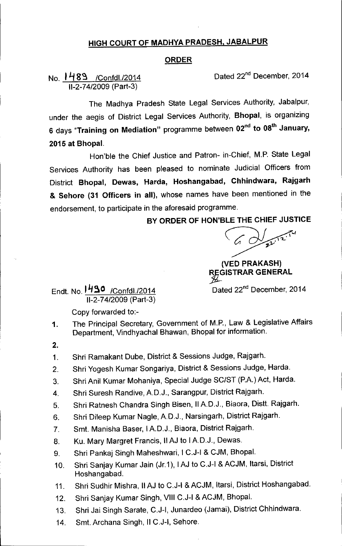## HIGH COURT OF MADHYA PRADESH, JABALPUR

## ORDER

## No. 1489 /Confdl./2014 11-2-74/2009(Part-3)

Dated 22<sup>nd</sup> December, 2014

The Madhya Pradesh State Legal Services Authority, Jabalpur, under the aegis of District Legal Services Authority, Bhopal, is organizing 6 days "Training on Mediation" programme between 02<sup>nd</sup> to 08<sup>th</sup> January. 2015 at Bhopal.

Hon'ble the Chief Justice and Patron- in-Chief, M.P. State Legal Services Authority has been pleased to nominate Judicial Officers from District Bhopal, Dewas, Harda, Hoshangabad, Chhindwara, Rajgarh & Sehore (31 Officers in all), whose names have been mentioned in the endorsement, to participate in the aforesaid programme.

## BY ORDER OF HON'BLE THE CHIEF JUSTICE

 $\searrow$  /  $\swarrow$  /

(VED PRAKASH) REGISTRAR GENERAL

Endt. No. 1490 /Confdl./2014 Dated 22<sup>nd</sup> December, 2014 11-2-74/2009(Part-3)

Copy forwarded to:-

- The Principal Secretary, Government of M.P., Law & Legislative Affairs Department, Vindhyachal Bhawan, Bhopal for information. 1.
- 2.
- 1. Shri Ramakant Dube, District & Sessions Judge, Rajgarh.
- 2. Shri Yogesh Kumar Songariya, District & Sessions Judge, Harda.
- 3. Shri Anil Kumar Mohaniya, Special Judge SC/ST (PA) Act, Harda.
- 4. Shri Suresh Randive, A.D.J., Sarangpur, District Rajgarh.
- 5. Shri Ratnesh Chandra Singh Bisen, IIA.D.J., Biaora, Distt. Rajgarh.
- 6. Shri Dileep Kumar Nagle, A.D.J., Narsingarh, District Rajgarh.
- 7. Smt. Manisha Baser, IAD.J., Biaora, District Rajgarh.
- 8. Ku. Mary Margret Francis, IIAJ to IA.D.J., Dewas.
- 9. Shri Pankaj Singh Maheshwari, I C.J-I & CJM, Bhopal.
- 10. Shri Sanjay Kumar Jain (Jr.1), IAJ to C.J-I & ACJM, Itarsi, District Hoshangabad.
- 11. Shri Sudhir Mishra, IIAJ to C.J-I & ACJM, Itarsi, District Hoshangabad.
- 12. Shri Sanjay Kumar Singh, VIII C.J-I & ACJM, Bhopal.
- 13. Shri Jai Singh Sarate, C.J-I, Junardeo (Jamai), District Chhindwara.
- 14. Smt. Archana Singh, II C.J-I, Sehore.